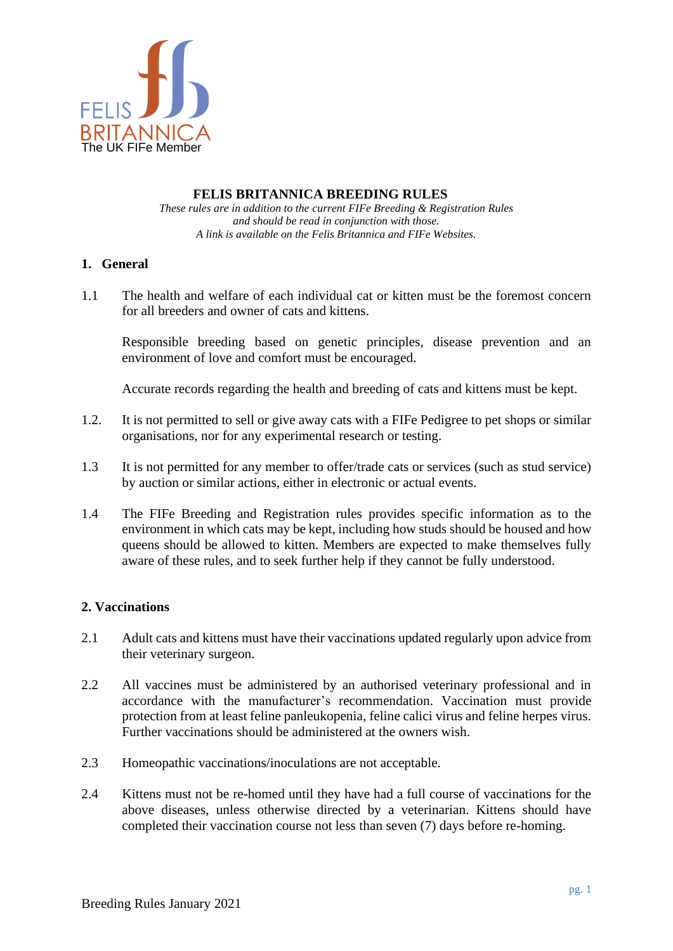

## **FELIS BRITANNICA BREEDING RULES**

*These rules are in addition to the current FIFe Breeding & Registration Rules and should be read in conjunction with those. A link is available on the Felis Britannica and FIFe Websites.*

## **1. General**

1.1 The health and welfare of each individual cat or kitten must be the foremost concern for all breeders and owner of cats and kittens.

Responsible breeding based on genetic principles, disease prevention and an environment of love and comfort must be encouraged.

Accurate records regarding the health and breeding of cats and kittens must be kept.

- 1.2. It is not permitted to sell or give away cats with a FIFe Pedigree to pet shops or similar organisations, nor for any experimental research or testing.
- 1.3 It is not permitted for any member to offer/trade cats or services (such as stud service) by auction or similar actions, either in electronic or actual events.
- 1.4 The FIFe Breeding and Registration rules provides specific information as to the environment in which cats may be kept, including how studs should be housed and how queens should be allowed to kitten. Members are expected to make themselves fully aware of these rules, and to seek further help if they cannot be fully understood.

# **2. Vaccinations**

- 2.1 Adult cats and kittens must have their vaccinations updated regularly upon advice from their veterinary surgeon.
- 2.2 All vaccines must be administered by an authorised veterinary professional and in accordance with the manufacturer's recommendation. Vaccination must provide protection from at least feline panleukopenia, feline calici virus and feline herpes virus. Further vaccinations should be administered at the owners wish.
- 2.3 Homeopathic vaccinations/inoculations are not acceptable.
- 2.4 Kittens must not be re-homed until they have had a full course of vaccinations for the above diseases, unless otherwise directed by a veterinarian. Kittens should have completed their vaccination course not less than seven (7) days before re-homing.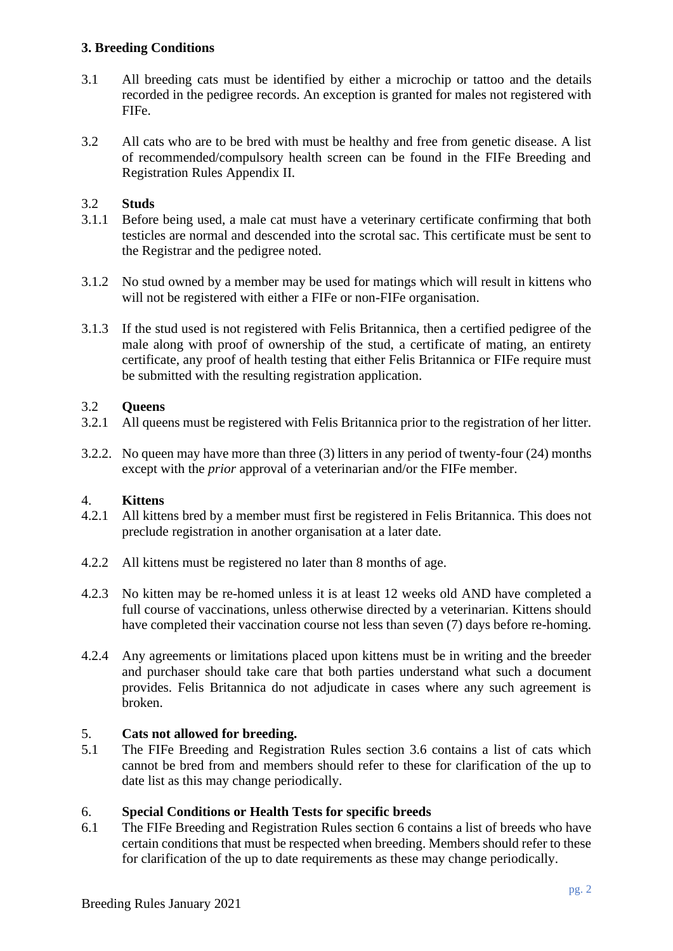## **3. Breeding Conditions**

- 3.1 All breeding cats must be identified by either a microchip or tattoo and the details recorded in the pedigree records. An exception is granted for males not registered with FIFe.
- 3.2 All cats who are to be bred with must be healthy and free from genetic disease. A list of recommended/compulsory health screen can be found in the FIFe Breeding and Registration Rules Appendix II.

## 3.2 **Studs**

- 3.1.1 Before being used, a male cat must have a veterinary certificate confirming that both testicles are normal and descended into the scrotal sac. This certificate must be sent to the Registrar and the pedigree noted.
- 3.1.2 No stud owned by a member may be used for matings which will result in kittens who will not be registered with either a FIFe or non-FIFe organisation.
- 3.1.3 If the stud used is not registered with Felis Britannica, then a certified pedigree of the male along with proof of ownership of the stud, a certificate of mating, an entirety certificate, any proof of health testing that either Felis Britannica or FIFe require must be submitted with the resulting registration application.

## 3.2 **Queens**

- 3.2.1 All queens must be registered with Felis Britannica prior to the registration of her litter.
- 3.2.2. No queen may have more than three (3) litters in any period of twenty-four (24) months except with the *prior* approval of a veterinarian and/or the FIFe member.

### 4. **Kittens**

- 4.2.1 All kittens bred by a member must first be registered in Felis Britannica. This does not preclude registration in another organisation at a later date.
- 4.2.2 All kittens must be registered no later than 8 months of age.
- 4.2.3 No kitten may be re-homed unless it is at least 12 weeks old AND have completed a full course of vaccinations, unless otherwise directed by a veterinarian. Kittens should have completed their vaccination course not less than seven (7) days before re-homing.
- 4.2.4 Any agreements or limitations placed upon kittens must be in writing and the breeder and purchaser should take care that both parties understand what such a document provides. Felis Britannica do not adjudicate in cases where any such agreement is broken.

### 5. **Cats not allowed for breeding.**

5.1 The FIFe Breeding and Registration Rules section 3.6 contains a list of cats which cannot be bred from and members should refer to these for clarification of the up to date list as this may change periodically.

### 6. **Special Conditions or Health Tests for specific breeds**

6.1 The FIFe Breeding and Registration Rules section 6 contains a list of breeds who have certain conditions that must be respected when breeding. Members should refer to these for clarification of the up to date requirements as these may change periodically.